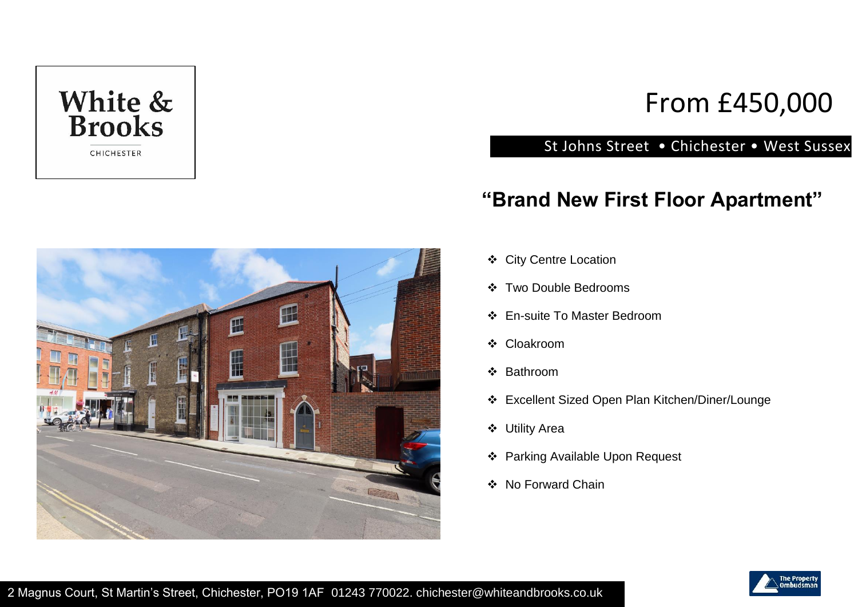

# From £450,000

#### St Johns Street • Chichester • West Sussex

### **"Brand New First Floor Apartment"**



- City Centre Location
- Two Double Bedrooms
- En-suite To Master Bedroom
- Cloakroom
- ❖ Bathroom
- Excellent Sized Open Plan Kitchen/Diner/Lounge
- Utility Area
- Parking Available Upon Request
- ❖ No Forward Chain

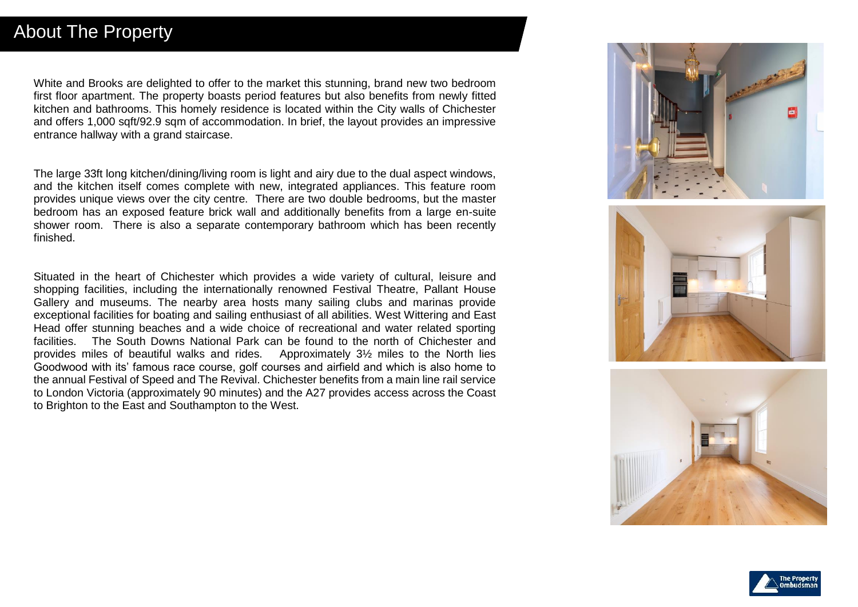White and Brooks are delighted to offer to the market this stunning, brand new two bedroom first floor apartment. The property boasts period features but also benefits from newly fitted kitchen and bathrooms. This homely residence is located within the City walls of Chichester and offers 1,000 sqft/92.9 sqm of accommodation. In brief, the layout provides an impressive entrance hallway with a grand staircase.

The large 33ft long kitchen/dining/living room is light and airy due to the dual aspect windows, and the kitchen itself comes complete with new, integrated appliances. This feature room provides unique views over the city centre. There are two double bedrooms, but the master bedroom has an exposed feature brick wall and additionally benefits from a large en-suite shower room. There is also a separate contemporary bathroom which has been recently finished.

Situated in the heart of Chichester which provides a wide variety of cultural, leisure and shopping facilities, including the internationally renowned Festival Theatre, Pallant House Gallery and museums. The nearby area hosts many sailing clubs and marinas provide exceptional facilities for boating and sailing enthusiast of all abilities. West Wittering and East Head offer stunning beaches and a wide choice of recreational and water related sporting facilities. The South Downs National Park can be found to the north of Chichester and provides miles of beautiful walks and rides. Approximately 3½ miles to the North lies Goodwood with its' famous race course, golf courses and airfield and which is also home to the annual Festival of Speed and The Revival. Chichester benefits from a main line rail service to London Victoria (approximately 90 minutes) and the A27 provides access across the Coast to Brighton to the East and Southampton to the West.



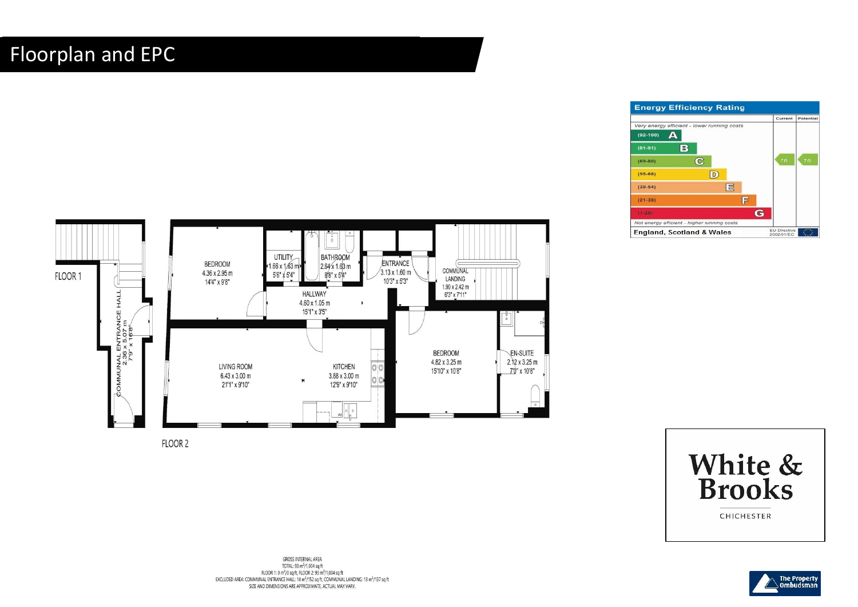# Floorplan and EPC





FLOOR 2

**GROSS INTERNAL AREA** TOTAL: 93 m<sup>2</sup>/1,004 sq ft FLOOR 1: 0 m<sup>2</sup>/0 sq ft. FLOOR 2: 93 m<sup>2</sup>/1.004 sq ft EXCLUDED AREA: COMMUNAL ENTRANCE HALL: 14 m<sup>2</sup>/152 sq ft, COMMUNAL LANDING: 13 m<sup>2</sup>/137 sq ft SIZE AND DIMENSIONS ARE APPROXIMATE, ACTUAL MAY VARY.